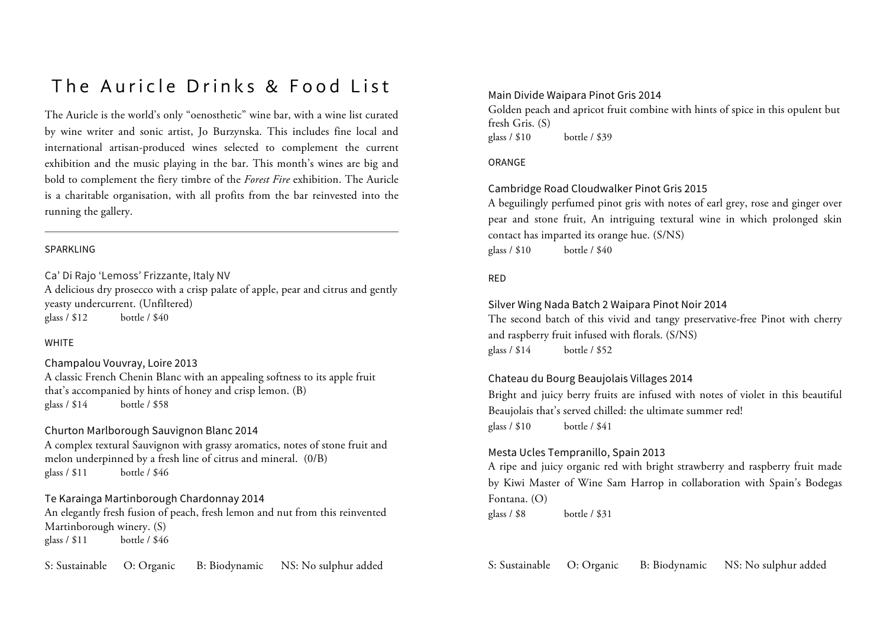## The Auricle Drinks & Food List

The Auricle is the world's only "oenosthetic" wine bar, with a wine list curated by wine writer and sonic artist, Jo Burzynska. This includes fine local and international artisan-produced wines selected to complement the current exhibition and the music playing in the bar. This month's wines are big and bold to complement the fiery timbre of the *Forest Fire* exhibition. The Auricle is a charitable organisation, with all profits from the bar reinvested into the running the gallery.

#### SPARKLING

Ca' Di Rajo 'Lemoss' Frizzante, Italy NV

A delicious dry prosecco with a crisp palate of apple, pear and citrus and gently yeasty undercurrent. (Unfiltered) glass / \$12 bottle / \$40

#### **WHITE**

Champalou Vouvray, Loire 2013 A classic French Chenin Blanc with an appealing softness to its apple fruit that's accompanied by hints of honey and crisp lemon. (B) glass / \$14 bottle / \$58

## Churton Marlborough Sauvignon Blanc 2014

A complex textural Sauvignon with grassy aromatics, notes of stone fruit and melon underpinned by a fresh line of citrus and mineral. (0/B) glass / \$11 bottle / \$46

Te Karainga Martinborough Chardonnay 2014 An elegantly fresh fusion of peach, fresh lemon and nut from this reinvented Martinborough winery. (S) glass / \$11 bottle / \$46

S: Sustainable O: Organic B: Biodynamic NS: No sulphur added

#### Main Divide Waipara Pinot Gris 2014

Golden peach and apricot fruit combine with hints of spice in this opulent but fresh Gris. (S) glass / \$10 bottle / \$39

#### ORANGE

## Cambridge Road Cloudwalker Pinot Gris 2015

A beguilingly perfumed pinot gris with notes of earl grey, rose and ginger over pear and stone fruit, An intriguing textural wine in which prolonged skin contact has imparted its orange hue. (S/NS) glass / \$10 bottle / \$40

#### RED

#### Silver Wing Nada Batch 2 Waipara Pinot Noir 2014

The second batch of this vivid and tangy preservative-free Pinot with cherry and raspberry fruit infused with florals. (S/NS) glass / \$14 bottle / \$52

#### Chateau du Bourg Beaujolais Villages 2014

Bright and juicy berry fruits are infused with notes of violet in this beautiful Beaujolais that's served chilled: the ultimate summer red! glass / \$10 bottle / \$41

## Mesta Ucles Tempranillo, Spain 2013

A ripe and juicy organic red with bright strawberry and raspberry fruit made by Kiwi Master of Wine Sam Harrop in collaboration with Spain's Bodegas Fontana. (O) glass / \$8 bottle / \$31

S: Sustainable O: Organic B: Biodynamic NS: No sulphur added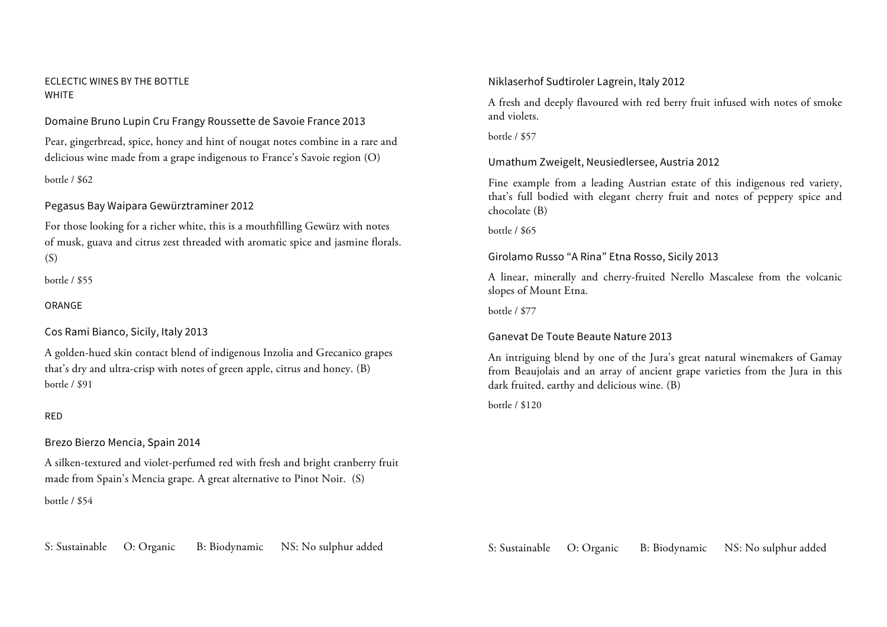#### ECLECTIC WINES BY THE BOTTLE WHITE

Domaine Bruno Lupin Cru Frangy Roussette de Savoie France 2013

Pear, gingerbread, spice, honey and hint of nougat notes combine in a rare and delicious wine made from a grape indigenous to France's Savoie region (O)

bottle / \$62

## Pegasus Bay Waipara Gewürztraminer 2012

For those looking for a richer white, this is a mouthfilling Gewürz with notes of musk, guava and citrus zest threaded with aromatic spice and jasmine florals.  $(S)$ 

bottle / \$55

## ORANGE

Cos Rami Bianco, Sicily, Italy 2013

A golden-hued skin contact blend of indigenous Inzolia and Grecanico grapes that's dry and ultra-crisp with notes of green apple, citrus and honey. (B) bottle / \$91

## RED

## Brezo Bierzo Mencia, Spain 2014

A silken-textured and violet-perfumed red with fresh and bright cranberry fruit made from Spain's Mencia grape. A great alternative to Pinot Noir. (S)

#### bottle / \$54

S: Sustainable O: Organic B: Biodynamic NS: No sulphur added

## Niklaserhof Sudtiroler Lagrein, Italy 2012

A fresh and deeply flavoured with red berry fruit infused with notes of smoke and violets.

bottle / \$57

## Umathum Zweigelt, Neusiedlersee, Austria 2012

Fine example from a leading Austrian estate of this indigenous red variety, that's full bodied with elegant cherry fruit and notes of peppery spice and chocolate (B)

bottle / \$65

Girolamo Russo "A Rina" Etna Rosso, Sicily 2013

A linear, minerally and cherry-fruited Nerello Mascalese from the volcanic slopes of Mount Etna.

bottle / \$77

Ganevat De Toute Beaute Nature 2013

An intriguing blend by one of the Jura's great natural winemakers of Gamay from Beaujolais and an array of ancient grape varieties from the Jura in this dark fruited, earthy and delicious wine. (B)

bottle / \$120

S: Sustainable O: Organic B: Biodynamic NS: No sulphur added